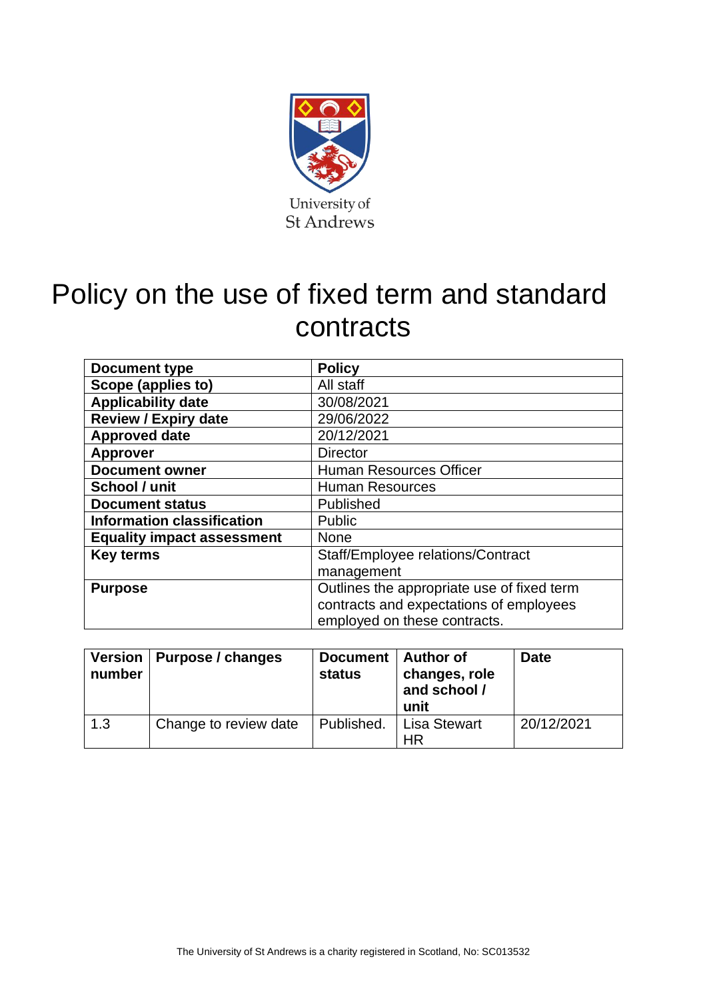

# Policy on the use of fixed term and standard contracts

| Document type                     | <b>Policy</b>                              |
|-----------------------------------|--------------------------------------------|
| Scope (applies to)                | All staff                                  |
| <b>Applicability date</b>         | 30/08/2021                                 |
| <b>Review / Expiry date</b>       | 29/06/2022                                 |
| <b>Approved date</b>              | 20/12/2021                                 |
| <b>Approver</b>                   | <b>Director</b>                            |
| <b>Document owner</b>             | <b>Human Resources Officer</b>             |
| School / unit                     | <b>Human Resources</b>                     |
| <b>Document status</b>            | Published                                  |
| <b>Information classification</b> | Public                                     |
| <b>Equality impact assessment</b> | <b>None</b>                                |
| <b>Key terms</b>                  | Staff/Employee relations/Contract          |
|                                   | management                                 |
| <b>Purpose</b>                    | Outlines the appropriate use of fixed term |
|                                   | contracts and expectations of employees    |
|                                   | employed on these contracts.               |

| number | Version   Purpose / changes | Document   Author of<br><b>status</b> | changes, role<br>and school /<br>unit | <b>Date</b> |
|--------|-----------------------------|---------------------------------------|---------------------------------------|-------------|
| 1.3    | Change to review date       | Published.                            | <b>Lisa Stewart</b><br>ΗR             | 20/12/2021  |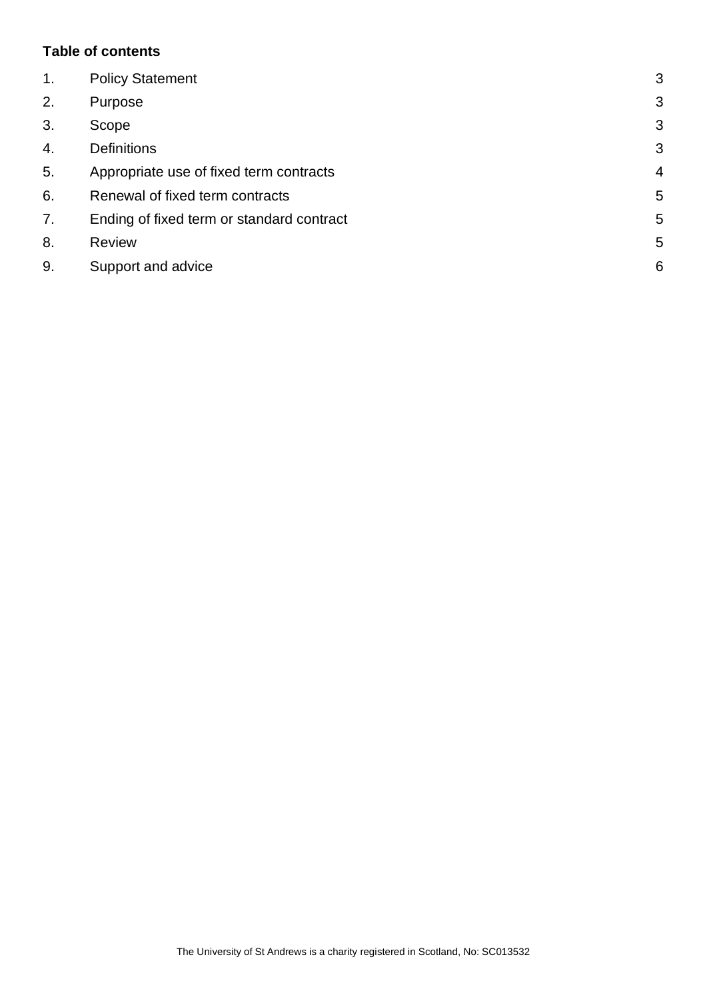### **Table of contents**

| $\mathbf 1$ .    | <b>Policy Statement</b>                   | 3              |
|------------------|-------------------------------------------|----------------|
| 2.               | Purpose                                   | 3              |
| 3.               | Scope                                     | 3              |
| $\overline{4}$ . | <b>Definitions</b>                        | 3              |
| 5.               | Appropriate use of fixed term contracts   | $\overline{4}$ |
| 6.               | Renewal of fixed term contracts           | 5              |
| 7.               | Ending of fixed term or standard contract | 5              |
| 8.               | <b>Review</b>                             | 5              |
| 9.               | Support and advice                        | 6              |
|                  |                                           |                |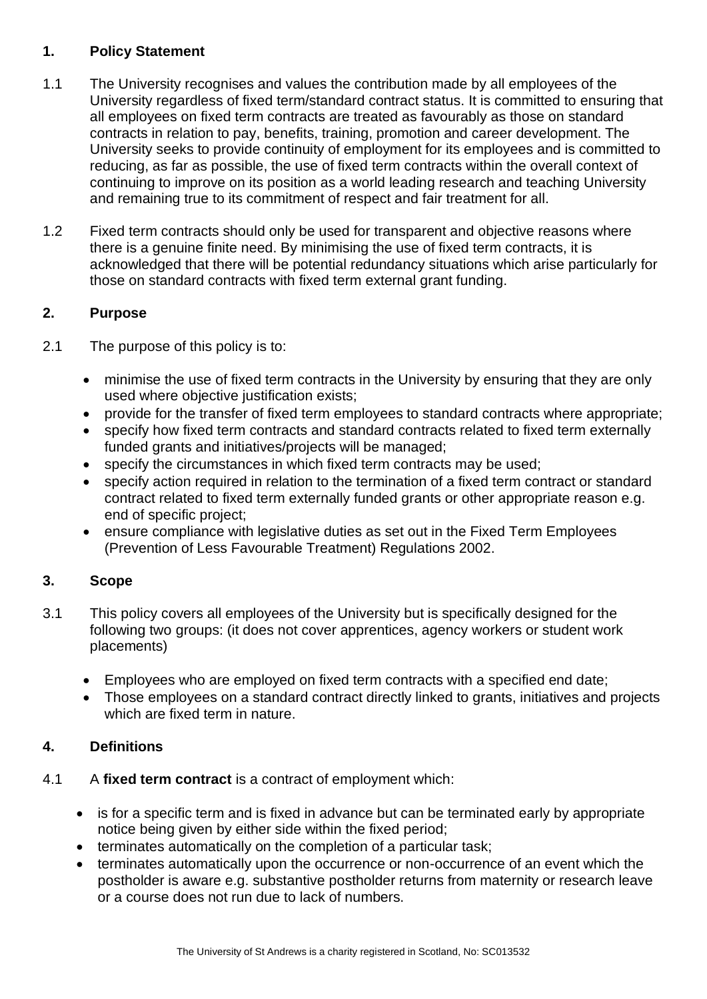## <span id="page-2-0"></span>**1. Policy Statement**

- 1.1 The University recognises and values the contribution made by all employees of the University regardless of fixed term/standard contract status. It is committed to ensuring that all employees on fixed term contracts are treated as favourably as those on standard contracts in relation to pay, benefits, training, promotion and career development. The University seeks to provide continuity of employment for its employees and is committed to reducing, as far as possible, the use of fixed term contracts within the overall context of continuing to improve on its position as a world leading research and teaching University and remaining true to its commitment of respect and fair treatment for all.
- 1.2 Fixed term contracts should only be used for transparent and objective reasons where there is a genuine finite need. By minimising the use of fixed term contracts, it is acknowledged that there will be potential redundancy situations which arise particularly for those on standard contracts with fixed term external grant funding.

# <span id="page-2-1"></span>**2. Purpose**

- 2.1 The purpose of this policy is to:
	- minimise the use of fixed term contracts in the University by ensuring that they are only used where objective justification exists;
	- provide for the transfer of fixed term employees to standard contracts where appropriate;
	- specify how fixed term contracts and standard contracts related to fixed term externally funded grants and initiatives/projects will be managed;
	- specify the circumstances in which fixed term contracts may be used;
	- specify action required in relation to the termination of a fixed term contract or standard contract related to fixed term externally funded grants or other appropriate reason e.g. end of specific project;
	- ensure compliance with legislative duties as set out in the Fixed Term Employees (Prevention of Less Favourable Treatment) Regulations 2002.

## <span id="page-2-2"></span>**3. Scope**

- 3.1 This policy covers all employees of the University but is specifically designed for the following two groups: (it does not cover apprentices, agency workers or student work placements)
	- Employees who are employed on fixed term contracts with a specified end date;
	- Those employees on a standard contract directly linked to grants, initiatives and projects which are fixed term in nature.

## <span id="page-2-3"></span>**4. Definitions**

- 4.1 A **fixed term contract** is a contract of employment which:
	- is for a specific term and is fixed in advance but can be terminated early by appropriate notice being given by either side within the fixed period;
	- terminates automatically on the completion of a particular task;
	- terminates automatically upon the occurrence or non-occurrence of an event which the postholder is aware e.g. substantive postholder returns from maternity or research leave or a course does not run due to lack of numbers.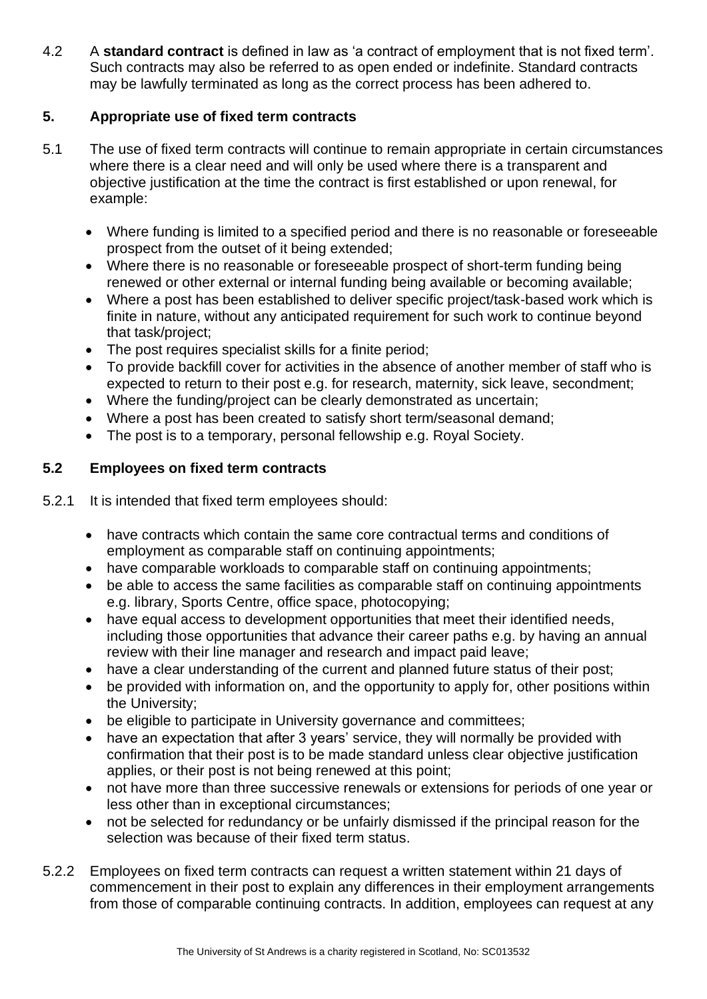4.2 A **standard contract** is defined in law as 'a contract of employment that is not fixed term'. Such contracts may also be referred to as open ended or indefinite. Standard contracts may be lawfully terminated as long as the correct process has been adhered to.

## <span id="page-3-0"></span>**5. Appropriate use of fixed term contracts**

- 5.1 The use of fixed term contracts will continue to remain appropriate in certain circumstances where there is a clear need and will only be used where there is a transparent and objective justification at the time the contract is first established or upon renewal, for example:
	- Where funding is limited to a specified period and there is no reasonable or foreseeable prospect from the outset of it being extended;
	- Where there is no reasonable or foreseeable prospect of short-term funding being renewed or other external or internal funding being available or becoming available;
	- Where a post has been established to deliver specific project/task-based work which is finite in nature, without any anticipated requirement for such work to continue beyond that task/project;
	- The post requires specialist skills for a finite period;
	- To provide backfill cover for activities in the absence of another member of staff who is expected to return to their post e.g. for research, maternity, sick leave, secondment;
	- Where the funding/project can be clearly demonstrated as uncertain;
	- Where a post has been created to satisfy short term/seasonal demand;
	- The post is to a temporary, personal fellowship e.g. Royal Society.

# **5.2 Employees on fixed term contracts**

- 5.2.1 It is intended that fixed term employees should:
	- have contracts which contain the same core contractual terms and conditions of employment as comparable staff on continuing appointments;
	- have comparable workloads to comparable staff on continuing appointments;
	- be able to access the same facilities as comparable staff on continuing appointments e.g. library, Sports Centre, office space, photocopying;
	- have equal access to development opportunities that meet their identified needs, including those opportunities that advance their career paths e.g. by having an annual review with their line manager and research and impact paid leave;
	- have a clear understanding of the current and planned future status of their post;
	- be provided with information on, and the opportunity to apply for, other positions within the University;
	- be eligible to participate in University governance and committees;
	- have an expectation that after 3 years' service, they will normally be provided with confirmation that their post is to be made standard unless clear objective justification applies, or their post is not being renewed at this point;
	- not have more than three successive renewals or extensions for periods of one year or less other than in exceptional circumstances;
	- not be selected for redundancy or be unfairly dismissed if the principal reason for the selection was because of their fixed term status.
- 5.2.2 Employees on fixed term contracts can request a written statement within 21 days of commencement in their post to explain any differences in their employment arrangements from those of comparable continuing contracts. In addition, employees can request at any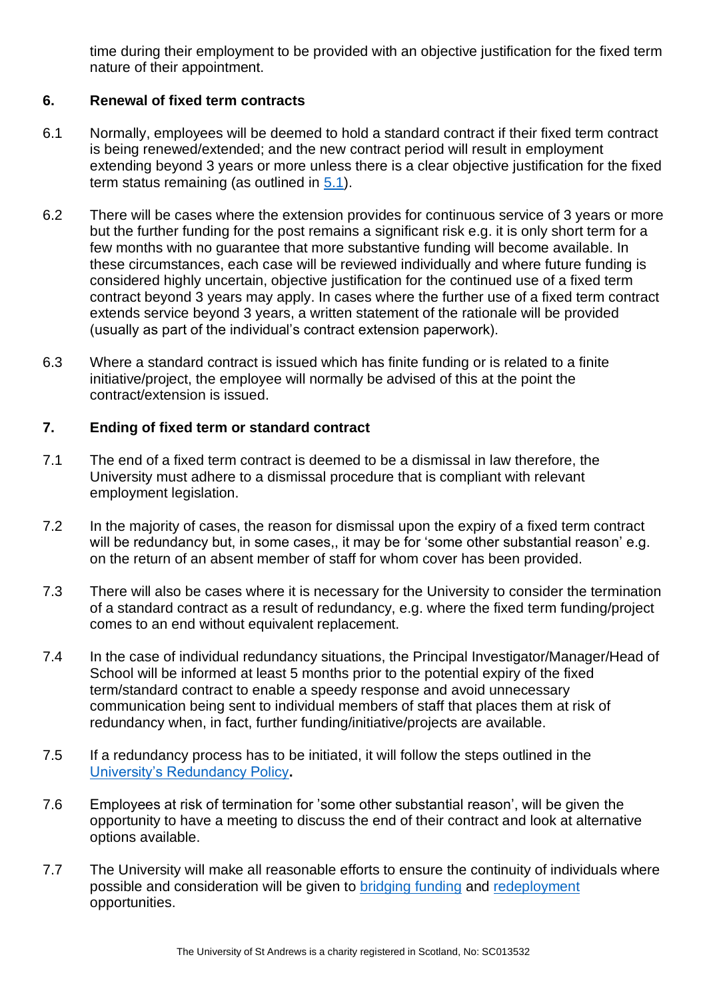time during their employment to be provided with an objective justification for the fixed term nature of their appointment.

## <span id="page-4-0"></span>**6. Renewal of fixed term contracts**

- 6.1 Normally, employees will be deemed to hold a standard contract if their fixed term contract is being renewed/extended; and the new contract period will result in employment extending beyond 3 years or more unless there is a clear objective justification for the fixed term status remaining (as outlined in [5.1\)](#page-3-0).
- 6.2 There will be cases where the extension provides for continuous service of 3 years or more but the further funding for the post remains a significant risk e.g. it is only short term for a few months with no guarantee that more substantive funding will become available. In these circumstances, each case will be reviewed individually and where future funding is considered highly uncertain, objective justification for the continued use of a fixed term contract beyond 3 years may apply. In cases where the further use of a fixed term contract extends service beyond 3 years, a written statement of the rationale will be provided (usually as part of the individual's contract extension paperwork).
- 6.3 Where a standard contract is issued which has finite funding or is related to a finite initiative/project, the employee will normally be advised of this at the point the contract/extension is issued.

## <span id="page-4-1"></span>**7. Ending of fixed term or standard contract**

- 7.1 The end of a fixed term contract is deemed to be a dismissal in law therefore, the University must adhere to a dismissal procedure that is compliant with relevant employment legislation.
- 7.2 In the majority of cases, the reason for dismissal upon the expiry of a fixed term contract will be redundancy but, in some cases, it may be for 'some other substantial reason' e.g. on the return of an absent member of staff for whom cover has been provided.
- 7.3 There will also be cases where it is necessary for the University to consider the termination of a standard contract as a result of redundancy, e.g. where the fixed term funding/project comes to an end without equivalent replacement.
- 7.4 In the case of individual redundancy situations, the Principal Investigator/Manager/Head of School will be informed at least 5 months prior to the potential expiry of the fixed term/standard contract to enable a speedy response and avoid unnecessary communication being sent to individual members of staff that places them at risk of redundancy when, in fact, further funding/initiative/projects are available.
- 7.5 If a redundancy process has to be initiated, it will follow the steps outlined in the [University's Redundancy Policy](https://www.st-andrews.ac.uk/staff/policy/hr/redundancy/)**.**
- 7.6 Employees at risk of termination for 'some other substantial reason', will be given the opportunity to have a meeting to discuss the end of their contract and look at alternative options available.
- 7.7 The University will make all reasonable efforts to ensure the continuity of individuals where possible and consideration will be given to [bridging funding](https://www.st-andrews.ac.uk/media/human-resources/new-policy-section-documents/bridgingfund/Bridging%20Fund.pdf) and [redeployment](https://www.st-andrews.ac.uk/staff/policy/hr/redeploymentpolicyandprocedure/) opportunities.